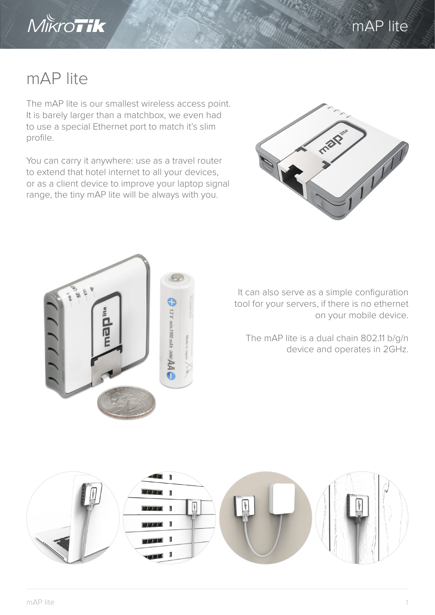



## mAP lite

The mAP lite is our smallest wireless access point. It is barely larger than a matchbox, we even had to use a special Ethernet port to match it's slim profile.

You can carry it anywhere: use as a travel router to extend that hotel internet to all your devices, or as a client device to improve your laptop signal range, the tiny mAP lite will be always with you.





It can also serve as a simple configuration tool for your servers, if there is no ethernet on your mobile device.

The mAP lite is a dual chain 802.11 b/g/n device and operates in 2GHz.